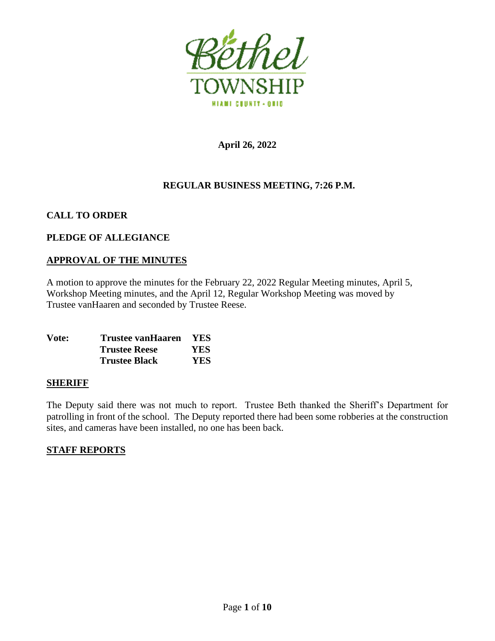

**April 26, 2022**

## **REGULAR BUSINESS MEETING, 7:26 P.M.**

## **CALL TO ORDER**

## **PLEDGE OF ALLEGIANCE**

## **APPROVAL OF THE MINUTES**

A motion to approve the minutes for the February 22, 2022 Regular Meeting minutes, April 5, Workshop Meeting minutes, and the April 12, Regular Workshop Meeting was moved by Trustee vanHaaren and seconded by Trustee Reese.

| Vote: | Trustee vanHaaren    | <b>YES</b> |
|-------|----------------------|------------|
|       | <b>Trustee Reese</b> | YES        |
|       | <b>Trustee Black</b> | <b>YES</b> |

## **SHERIFF**

The Deputy said there was not much to report. Trustee Beth thanked the Sheriff's Department for patrolling in front of the school. The Deputy reported there had been some robberies at the construction sites, and cameras have been installed, no one has been back.

## **STAFF REPORTS**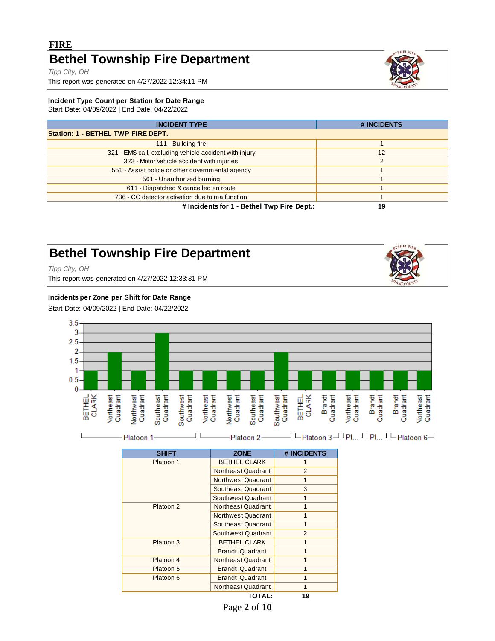# **FIRE Bethel Township Fire Department**

*Tipp City, OH*

This report was generated on 4/27/2022 12:34:11 PM

#### **Incident Type Count per Station for Date Range**

Start Date: 04/09/2022 | End Date: 04/22/2022

| <b>INCIDENT TYPE</b>                                   | # INCIDENTS |
|--------------------------------------------------------|-------------|
| Station: 1 - BETHEL TWP FIRE DEPT.                     |             |
| 111 - Building fire                                    |             |
| 321 - EMS call, excluding vehicle accident with injury | 12          |
| 322 - Motor vehicle accident with injuries             | c           |
| 551 - Assist police or other governmental agency       |             |
| 561 - Unauthorized burning                             |             |
| 611 - Dispatched & cancelled en route                  |             |
| 736 - CO detector activation due to malfunction        |             |
| # Incidents for 1 - Bethel Twp Fire Dept.:             | 19          |

# **Bethel Township Fire Department**

*Tipp City, OH*

This report was generated on 4/27/2022 12:33:31 PM

#### **Incidents per Zone per Shift for Date Range**

Start Date: 04/09/2022 | End Date: 04/22/2022



| <b>SHIFT</b> | <b>ZONE</b>            | # INCIDENTS    |
|--------------|------------------------|----------------|
| Platoon 1    | <b>BETHEL CLARK</b>    |                |
|              | Northeast Quadrant     | 2              |
|              | Northwest Quadrant     | 1              |
|              | Southeast Quadrant     | 3              |
|              | Southwest Quadrant     | 1              |
| Platoon 2    | Northeast Quadrant     | 1              |
|              | Northwest Quadrant     | 1              |
|              | Southeast Quadrant     | 1              |
|              | Southwest Quadrant     | $\mathfrak{p}$ |
| Platoon 3    | <b>BETHEL CLARK</b>    | 1              |
|              | <b>Brandt Quadrant</b> |                |
| Platoon 4    | Northeast Quadrant     |                |
| Platoon 5    | <b>Brandt Quadrant</b> | 1              |
| Platoon 6    | <b>Brandt Quadrant</b> |                |
|              | Northeast Quadrant     |                |
|              | <b>TOTAL:</b>          | 19             |





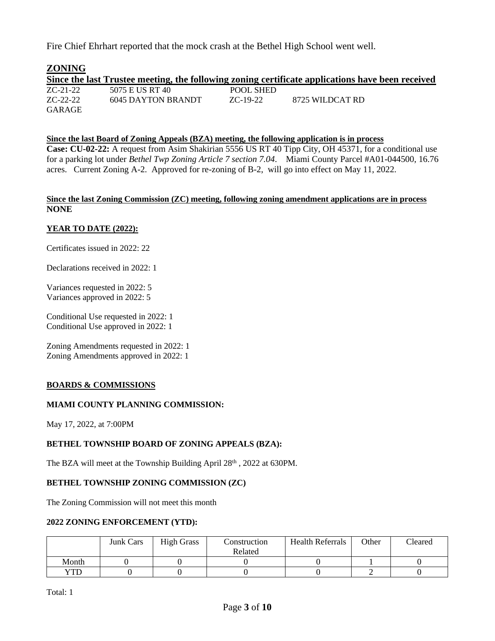Fire Chief Ehrhart reported that the mock crash at the Bethel High School went well.

| <b>ZONING</b> |                    |           |                                                                                                  |
|---------------|--------------------|-----------|--------------------------------------------------------------------------------------------------|
|               |                    |           | Since the last Trustee meeting, the following zoning certificate applications have been received |
| $ZC-21-22$    | 5075 E US RT 40    | POOL SHED |                                                                                                  |
| $ZC-22-22$    | 6045 DAYTON BRANDT | ZC-19-22  | 8725 WILDCAT RD                                                                                  |
| <b>GARAGE</b> |                    |           |                                                                                                  |

#### **Since the last Board of Zoning Appeals (BZA) meeting, the following application is in process**

**Case: CU-02-22:** A request from Asim Shakirian 5556 US RT 40 Tipp City, OH 45371, for a conditional use for a parking lot under *Bethel Twp Zoning Article 7 section 7.04*. Miami County Parcel #A01-044500, 16.76 acres. Current Zoning A-2. Approved for re-zoning of B-2, will go into effect on May 11, 2022.

#### **Since the last Zoning Commission (ZC) meeting, following zoning amendment applications are in process NONE**

#### **YEAR TO DATE (2022):**

Certificates issued in 2022: 22

Declarations received in 2022: 1

Variances requested in 2022: 5 Variances approved in 2022: 5

Conditional Use requested in 2022: 1 Conditional Use approved in 2022: 1

Zoning Amendments requested in 2022: 1 Zoning Amendments approved in 2022: 1

#### **BOARDS & COMMISSIONS**

#### **MIAMI COUNTY PLANNING COMMISSION:**

May 17, 2022, at 7:00PM

#### **BETHEL TOWNSHIP BOARD OF ZONING APPEALS (BZA):**

The BZA will meet at the Township Building April 28<sup>th</sup>, 2022 at 630PM.

#### **BETHEL TOWNSHIP ZONING COMMISSION (ZC)**

The Zoning Commission will not meet this month

#### **2022 ZONING ENFORCEMENT (YTD):**

|        | <b>Junk Cars</b> | <b>High Grass</b> | Construction | <b>Health Referrals</b> | Other | Cleared |
|--------|------------------|-------------------|--------------|-------------------------|-------|---------|
|        |                  |                   | Related      |                         |       |         |
| Month  |                  |                   |              |                         |       |         |
| $'T$ D |                  |                   |              |                         |       |         |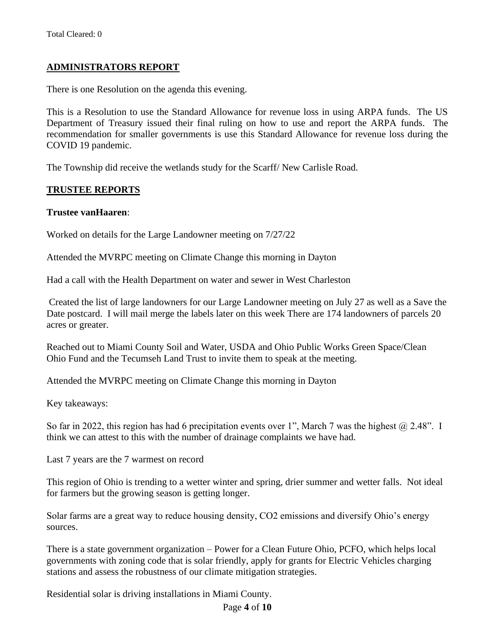## **ADMINISTRATORS REPORT**

There is one Resolution on the agenda this evening.

This is a Resolution to use the Standard Allowance for revenue loss in using ARPA funds. The US Department of Treasury issued their final ruling on how to use and report the ARPA funds. The recommendation for smaller governments is use this Standard Allowance for revenue loss during the COVID 19 pandemic.

The Township did receive the wetlands study for the Scarff/ New Carlisle Road.

## **TRUSTEE REPORTS**

#### **Trustee vanHaaren**:

Worked on details for the Large Landowner meeting on 7/27/22

Attended the MVRPC meeting on Climate Change this morning in Dayton

Had a call with the Health Department on water and sewer in West Charleston

Created the list of large landowners for our Large Landowner meeting on July 27 as well as a Save the Date postcard. I will mail merge the labels later on this week There are 174 landowners of parcels 20 acres or greater.

Reached out to Miami County Soil and Water, USDA and Ohio Public Works Green Space/Clean Ohio Fund and the Tecumseh Land Trust to invite them to speak at the meeting.

Attended the MVRPC meeting on Climate Change this morning in Dayton

Key takeaways:

So far in 2022, this region has had 6 precipitation events over 1", March 7 was the highest  $\omega$  2.48". I think we can attest to this with the number of drainage complaints we have had.

Last 7 years are the 7 warmest on record

This region of Ohio is trending to a wetter winter and spring, drier summer and wetter falls. Not ideal for farmers but the growing season is getting longer.

Solar farms are a great way to reduce housing density, CO2 emissions and diversify Ohio's energy sources.

There is a state government organization – Power for a Clean Future Ohio, PCFO, which helps local governments with zoning code that is solar friendly, apply for grants for Electric Vehicles charging stations and assess the robustness of our climate mitigation strategies.

Residential solar is driving installations in Miami County.

Page **4** of **10**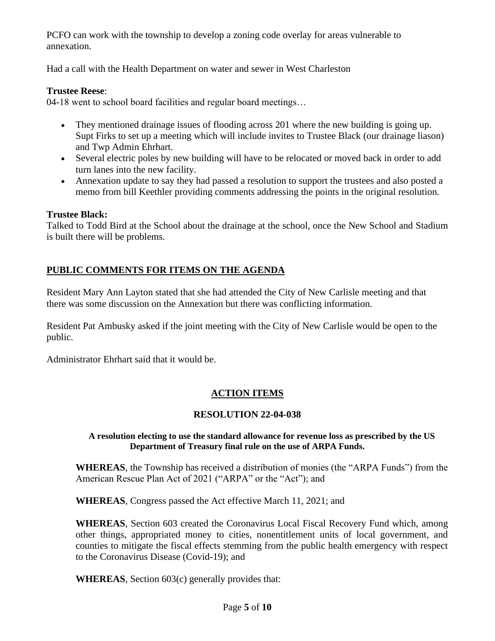PCFO can work with the township to develop a zoning code overlay for areas vulnerable to annexation.

Had a call with the Health Department on water and sewer in West Charleston

## **Trustee Reese**:

04-18 went to school board facilities and regular board meetings…

- They mentioned drainage issues of flooding across 201 where the new building is going up. Supt Firks to set up a meeting which will include invites to Trustee Black (our drainage liason) and Twp Admin Ehrhart.
- Several electric poles by new building will have to be relocated or moved back in order to add turn lanes into the new facility.
- Annexation update to say they had passed a resolution to support the trustees and also posted a memo from bill Keethler providing comments addressing the points in the original resolution.

## **Trustee Black:**

Talked to Todd Bird at the School about the drainage at the school, once the New School and Stadium is built there will be problems.

# **PUBLIC COMMENTS FOR ITEMS ON THE AGENDA**

Resident Mary Ann Layton stated that she had attended the City of New Carlisle meeting and that there was some discussion on the Annexation but there was conflicting information.

Resident Pat Ambusky asked if the joint meeting with the City of New Carlisle would be open to the public.

Administrator Ehrhart said that it would be.

# **ACTION ITEMS**

## **RESOLUTION 22-04-038**

## **A resolution electing to use the standard allowance for revenue loss as prescribed by the US Department of Treasury final rule on the use of ARPA Funds.**

**WHEREAS**, the Township has received a distribution of monies (the "ARPA Funds") from the American Rescue Plan Act of 2021 ("ARPA" or the "Act"); and

**WHEREAS**, Congress passed the Act effective March 11, 2021; and

**WHEREAS**, Section 603 created the Coronavirus Local Fiscal Recovery Fund which, among other things, appropriated money to cities, nonentitlement units of local government, and counties to mitigate the fiscal effects stemming from the public health emergency with respect to the Coronavirus Disease (Covid-19); and

**WHEREAS**, Section 603(c) generally provides that: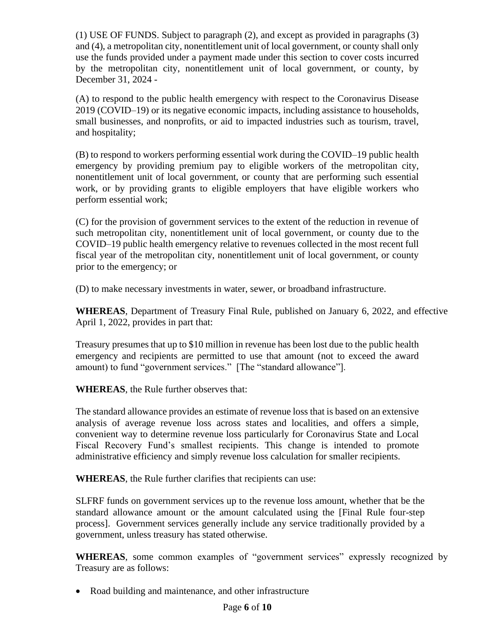(1) USE OF FUNDS. Subject to paragraph (2), and except as provided in paragraphs (3) and (4), a metropolitan city, nonentitlement unit of local government, or county shall only use the funds provided under a payment made under this section to cover costs incurred by the metropolitan city, nonentitlement unit of local government, or county, by December 31, 2024 -

(A) to respond to the public health emergency with respect to the Coronavirus Disease 2019 (COVID–19) or its negative economic impacts, including assistance to households, small businesses, and nonprofits, or aid to impacted industries such as tourism, travel, and hospitality;

(B) to respond to workers performing essential work during the COVID–19 public health emergency by providing premium pay to eligible workers of the metropolitan city, nonentitlement unit of local government, or county that are performing such essential work, or by providing grants to eligible employers that have eligible workers who perform essential work;

(C) for the provision of government services to the extent of the reduction in revenue of such metropolitan city, nonentitlement unit of local government, or county due to the COVID–19 public health emergency relative to revenues collected in the most recent full fiscal year of the metropolitan city, nonentitlement unit of local government, or county prior to the emergency; or

(D) to make necessary investments in water, sewer, or broadband infrastructure.

**WHEREAS**, Department of Treasury Final Rule, published on January 6, 2022, and effective April 1, 2022, provides in part that:

Treasury presumes that up to \$10 million in revenue has been lost due to the public health emergency and recipients are permitted to use that amount (not to exceed the award amount) to fund "government services." [The "standard allowance"].

**WHEREAS**, the Rule further observes that:

The standard allowance provides an estimate of revenue loss that is based on an extensive analysis of average revenue loss across states and localities, and offers a simple, convenient way to determine revenue loss particularly for Coronavirus State and Local Fiscal Recovery Fund's smallest recipients. This change is intended to promote administrative efficiency and simply revenue loss calculation for smaller recipients.

**WHEREAS**, the Rule further clarifies that recipients can use:

SLFRF funds on government services up to the revenue loss amount, whether that be the standard allowance amount or the amount calculated using the [Final Rule four-step process]. Government services generally include any service traditionally provided by a government, unless treasury has stated otherwise.

WHEREAS, some common examples of "government services" expressly recognized by Treasury are as follows:

• Road building and maintenance, and other infrastructure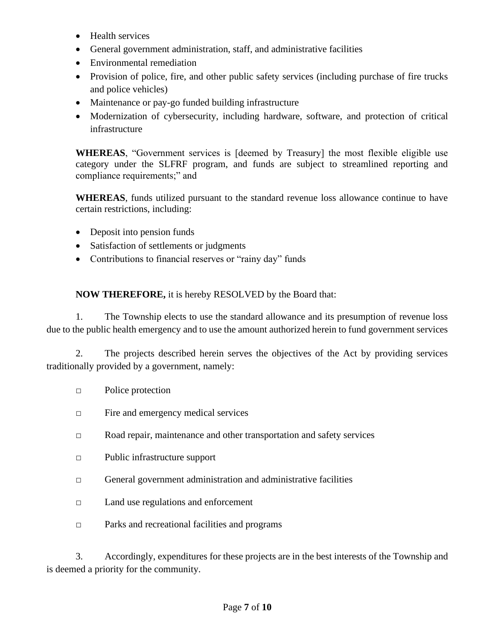- Health services
- General government administration, staff, and administrative facilities
- Environmental remediation
- Provision of police, fire, and other public safety services (including purchase of fire trucks and police vehicles)
- Maintenance or pay-go funded building infrastructure
- Modernization of cybersecurity, including hardware, software, and protection of critical infrastructure

**WHEREAS**, "Government services is [deemed by Treasury] the most flexible eligible use category under the SLFRF program, and funds are subject to streamlined reporting and compliance requirements;" and

**WHEREAS**, funds utilized pursuant to the standard revenue loss allowance continue to have certain restrictions, including:

- Deposit into pension funds
- Satisfaction of settlements or judgments
- Contributions to financial reserves or "rainy day" funds

**NOW THEREFORE,** it is hereby RESOLVED by the Board that:

1. The Township elects to use the standard allowance and its presumption of revenue loss due to the public health emergency and to use the amount authorized herein to fund government services

2. The projects described herein serves the objectives of the Act by providing services traditionally provided by a government, namely:

- □ Police protection
- □ Fire and emergency medical services
- □ Road repair, maintenance and other transportation and safety services
- □ Public infrastructure support
- $\Box$  General government administration and administrative facilities
- □ Land use regulations and enforcement
- □ Parks and recreational facilities and programs

3. Accordingly, expenditures for these projects are in the best interests of the Township and is deemed a priority for the community.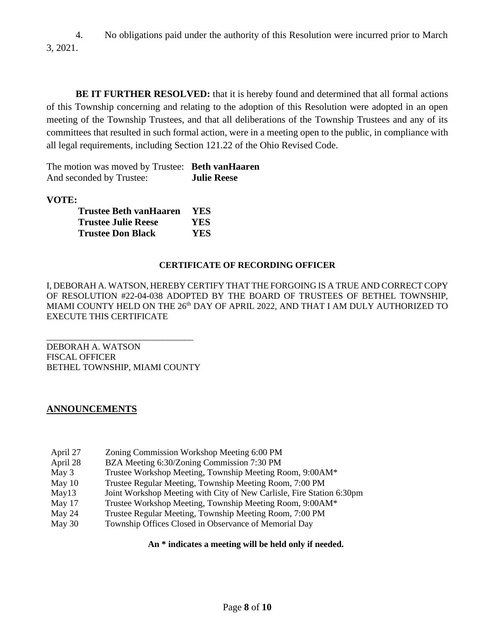4. No obligations paid under the authority of this Resolution were incurred prior to March 3, 2021.

**BE IT FURTHER RESOLVED:** that it is hereby found and determined that all formal actions of this Township concerning and relating to the adoption of this Resolution were adopted in an open meeting of the Township Trustees, and that all deliberations of the Township Trustees and any of its committees that resulted in such formal action, were in a meeting open to the public, in compliance with all legal requirements, including Section 121.22 of the Ohio Revised Code.

The motion was moved by Trustee: **Beth vanHaaren** And seconded by Trustee: **Julie Reese**

**VOTE:**

| <b>Trustee Beth vanHaaren</b> | <b>YES</b> |
|-------------------------------|------------|
| <b>Trustee Julie Reese</b>    | YES        |
| <b>Trustee Don Black</b>      | YES.       |

## **CERTIFICATE OF RECORDING OFFICER**

I, DEBORAH A. WATSON, HEREBY CERTIFY THAT THE FORGOING IS A TRUE AND CORRECT COPY OF RESOLUTION #22-04-038 ADOPTED BY THE BOARD OF TRUSTEES OF BETHEL TOWNSHIP, MIAMI COUNTY HELD ON THE 26<sup>th</sup> DAY OF APRIL 2022, AND THAT I AM DULY AUTHORIZED TO EXECUTE THIS CERTIFICATE

DEBORAH A. WATSON FISCAL OFFICER BETHEL TOWNSHIP, MIAMI COUNTY

\_\_\_\_\_\_\_\_\_\_\_\_\_\_\_\_\_\_\_\_\_\_\_\_\_\_\_\_\_\_\_\_\_

## **ANNOUNCEMENTS**

- April 27 Zoning Commission Workshop Meeting 6:00 PM
- April 28 BZA Meeting 6:30/Zoning Commission 7:30 PM
- May 3 Trustee Workshop Meeting, Township Meeting Room, 9:00AM\*
- May 10 Trustee Regular Meeting, Township Meeting Room, 7:00 PM
- May13 Joint Workshop Meeting with City of New Carlisle, Fire Station 6:30pm
- May 17 Trustee Workshop Meeting, Township Meeting Room, 9:00AM\*
- May 24 Trustee Regular Meeting, Township Meeting Room, 7:00 PM
- May 30 Township Offices Closed in Observance of Memorial Day

#### **An \* indicates a meeting will be held only if needed.**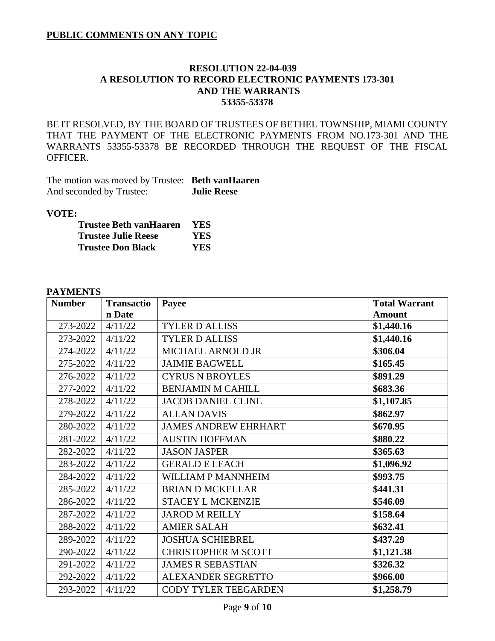## **PUBLIC COMMENTS ON ANY TOPIC**

## **RESOLUTION 22-04-039 A RESOLUTION TO RECORD ELECTRONIC PAYMENTS 173-301 AND THE WARRANTS 53355-53378**

BE IT RESOLVED, BY THE BOARD OF TRUSTEES OF BETHEL TOWNSHIP, MIAMI COUNTY THAT THE PAYMENT OF THE ELECTRONIC PAYMENTS FROM NO.173-301 AND THE WARRANTS 53355-53378 BE RECORDED THROUGH THE REQUEST OF THE FISCAL OFFICER.

The motion was moved by Trustee: **Beth vanHaaren** And seconded by Trustee: **Julie Reese**

#### **VOTE:**

| Trustee Beth vanHaaren     | <b>YES</b> |
|----------------------------|------------|
| <b>Trustee Julie Reese</b> | YES.       |
| <b>Trustee Don Black</b>   | YES.       |

#### **PAYMENTS**

| <b>Number</b> | <b>Transactio</b> | Payee                       | <b>Total Warrant</b> |
|---------------|-------------------|-----------------------------|----------------------|
|               | n Date            |                             | <b>Amount</b>        |
| 273-2022      | 4/11/22           | <b>TYLER D ALLISS</b>       | \$1,440.16           |
| 273-2022      | 4/11/22           | <b>TYLER D ALLISS</b>       | \$1,440.16           |
| 274-2022      | 4/11/22           | MICHAEL ARNOLD JR           | \$306.04             |
| 275-2022      | 4/11/22           | <b>JAIMIE BAGWELL</b>       | \$165.45             |
| 276-2022      | 4/11/22           | <b>CYRUS N BROYLES</b>      | \$891.29             |
| 277-2022      | 4/11/22           | <b>BENJAMIN M CAHILL</b>    | \$683.36             |
| 278-2022      | 4/11/22           | <b>JACOB DANIEL CLINE</b>   | \$1,107.85           |
| 279-2022      | 4/11/22           | <b>ALLAN DAVIS</b>          | \$862.97             |
| 280-2022      | 4/11/22           | <b>JAMES ANDREW EHRHART</b> | \$670.95             |
| 281-2022      | 4/11/22           | <b>AUSTIN HOFFMAN</b>       | \$880.22             |
| 282-2022      | 4/11/22           | <b>JASON JASPER</b>         | \$365.63             |
| 283-2022      | 4/11/22           | <b>GERALD E LEACH</b>       | \$1,096.92           |
| 284-2022      | 4/11/22           | WILLIAM P MANNHEIM          | \$993.75             |
| 285-2022      | 4/11/22           | <b>BRIAN D MCKELLAR</b>     | \$441.31             |
| 286-2022      | 4/11/22           | <b>STACEY L MCKENZIE</b>    | \$546.09             |
| 287-2022      | 4/11/22           | <b>JAROD M REILLY</b>       | \$158.64             |
| 288-2022      | 4/11/22           | <b>AMIER SALAH</b>          | \$632.41             |
| 289-2022      | 4/11/22           | <b>JOSHUA SCHIEBREL</b>     | \$437.29             |
| 290-2022      | 4/11/22           | <b>CHRISTOPHER M SCOTT</b>  | \$1,121.38           |
| 291-2022      | 4/11/22           | <b>JAMES R SEBASTIAN</b>    | \$326.32             |
| 292-2022      | 4/11/22           | <b>ALEXANDER SEGRETTO</b>   | \$966.00             |
| 293-2022      | 4/11/22           | <b>CODY TYLER TEEGARDEN</b> | \$1,258.79           |